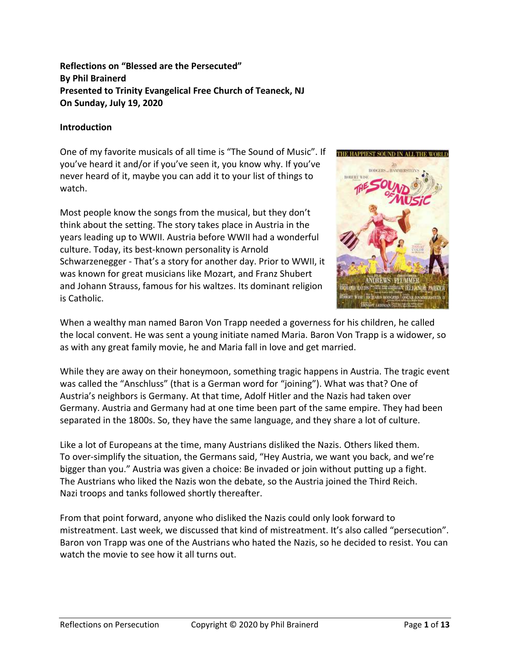# **Reflections on "Blessed are the Persecuted" By Phil Brainerd Presented to Trinity Evangelical Free Church of Teaneck, NJ On Sunday, July 19, 2020**

## **Introduction**

One of my favorite musicals of all time is "The Sound of Music". If you've heard it and/or if you've seen it, you know why. If you've never heard of it, maybe you can add it to your list of things to watch.

Most people know the songs from the musical, but they don't think about the setting. The story takes place in Austria in the years leading up to WWII. Austria before WWII had a wonderful culture. Today, its best-known personality is Arnold Schwarzenegger - That's a story for another day. Prior to WWII, it was known for great musicians like Mozart, and Franz Shubert and Johann Strauss, famous for his waltzes. Its dominant religion is Catholic.



When a wealthy man named Baron Von Trapp needed a governess for his children, he called the local convent. He was sent a young initiate named Maria. Baron Von Trapp is a widower, so as with any great family movie, he and Maria fall in love and get married.

While they are away on their honeymoon, something tragic happens in Austria. The tragic event was called the "Anschluss" (that is a German word for "joining"). What was that? One of Austria's neighbors is Germany. At that time, Adolf Hitler and the Nazis had taken over Germany. Austria and Germany had at one time been part of the same empire. They had been separated in the 1800s. So, they have the same language, and they share a lot of culture.

Like a lot of Europeans at the time, many Austrians disliked the Nazis. Others liked them. To over-simplify the situation, the Germans said, "Hey Austria, we want you back, and we're bigger than you." Austria was given a choice: Be invaded or join without putting up a fight. The Austrians who liked the Nazis won the debate, so the Austria joined the Third Reich. Nazi troops and tanks followed shortly thereafter.

From that point forward, anyone who disliked the Nazis could only look forward to mistreatment. Last week, we discussed that kind of mistreatment. It's also called "persecution". Baron von Trapp was one of the Austrians who hated the Nazis, so he decided to resist. You can watch the movie to see how it all turns out.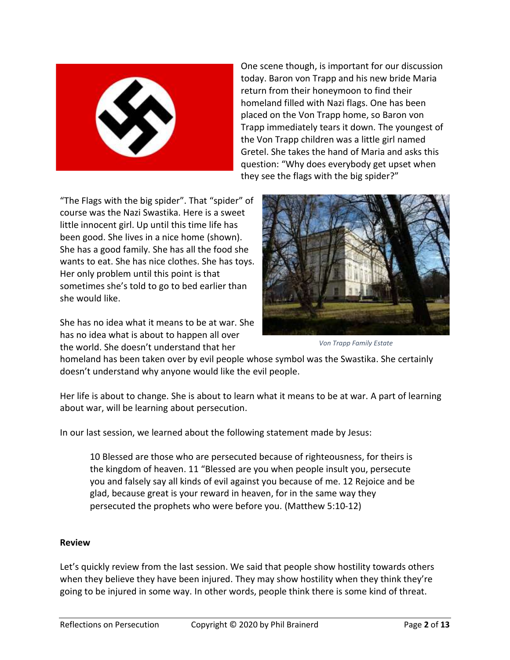

One scene though, is important for our discussion today. Baron von Trapp and his new bride Maria return from their honeymoon to find their homeland filled with Nazi flags. One has been placed on the Von Trapp home, so Baron von Trapp immediately tears it down. The youngest of the Von Trapp children was a little girl named Gretel. She takes the hand of Maria and asks this question: "Why does everybody get upset when they see the flags with the big spider?"

"The Flags with the big spider". That "spider" of course was the Nazi Swastika. Here is a sweet little innocent girl. Up until this time life has been good. She lives in a nice home (shown). She has a good family. She has all the food she wants to eat. She has nice clothes. She has toys. Her only problem until this point is that sometimes she's told to go to bed earlier than she would like.

She has no idea what it means to be at war. She has no idea what is about to happen all over the world. She doesn't understand that her



*Von Trapp Family Estate*

homeland has been taken over by evil people whose symbol was the Swastika. She certainly doesn't understand why anyone would like the evil people.

Her life is about to change. She is about to learn what it means to be at war. A part of learning about war, will be learning about persecution.

In our last session, we learned about the following statement made by Jesus:

10 Blessed are those who are persecuted because of righteousness, for theirs is the kingdom of heaven. 11 "Blessed are you when people insult you, persecute you and falsely say all kinds of evil against you because of me. 12 Rejoice and be glad, because great is your reward in heaven, for in the same way they persecuted the prophets who were before you. (Matthew 5:10-12)

### **Review**

Let's quickly review from the last session. We said that people show hostility towards others when they believe they have been injured. They may show hostility when they think they're going to be injured in some way. In other words, people think there is some kind of threat.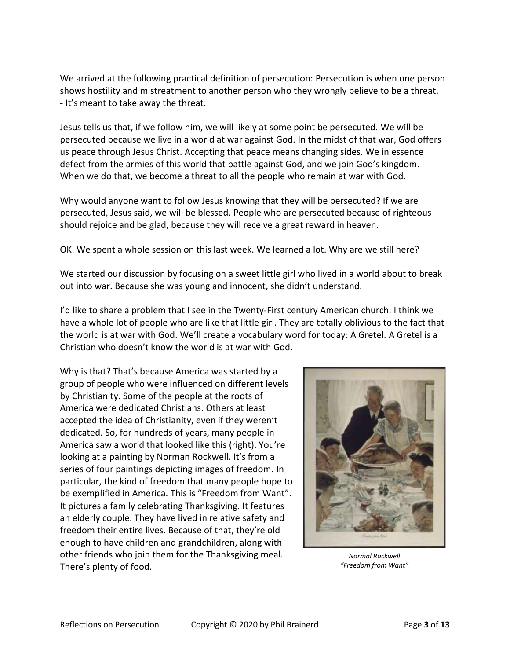We arrived at the following practical definition of persecution: Persecution is when one person shows hostility and mistreatment to another person who they wrongly believe to be a threat. - It's meant to take away the threat.

Jesus tells us that, if we follow him, we will likely at some point be persecuted. We will be persecuted because we live in a world at war against God. In the midst of that war, God offers us peace through Jesus Christ. Accepting that peace means changing sides. We in essence defect from the armies of this world that battle against God, and we join God's kingdom. When we do that, we become a threat to all the people who remain at war with God.

Why would anyone want to follow Jesus knowing that they will be persecuted? If we are persecuted, Jesus said, we will be blessed. People who are persecuted because of righteous should rejoice and be glad, because they will receive a great reward in heaven.

OK. We spent a whole session on this last week. We learned a lot. Why are we still here?

We started our discussion by focusing on a sweet little girl who lived in a world about to break out into war. Because she was young and innocent, she didn't understand.

I'd like to share a problem that I see in the Twenty-First century American church. I think we have a whole lot of people who are like that little girl. They are totally oblivious to the fact that the world is at war with God. We'll create a vocabulary word for today: A Gretel. A Gretel is a Christian who doesn't know the world is at war with God.

Why is that? That's because America was started by a group of people who were influenced on different levels by Christianity. Some of the people at the roots of America were dedicated Christians. Others at least accepted the idea of Christianity, even if they weren't dedicated. So, for hundreds of years, many people in America saw a world that looked like this (right). You're looking at a painting by Norman Rockwell. It's from a series of four paintings depicting images of freedom. In particular, the kind of freedom that many people hope to be exemplified in America. This is "Freedom from Want". It pictures a family celebrating Thanksgiving. It features an elderly couple. They have lived in relative safety and freedom their entire lives. Because of that, they're old enough to have children and grandchildren, along with other friends who join them for the Thanksgiving meal. There's plenty of food.



*Normal Rockwell "Freedom from Want"*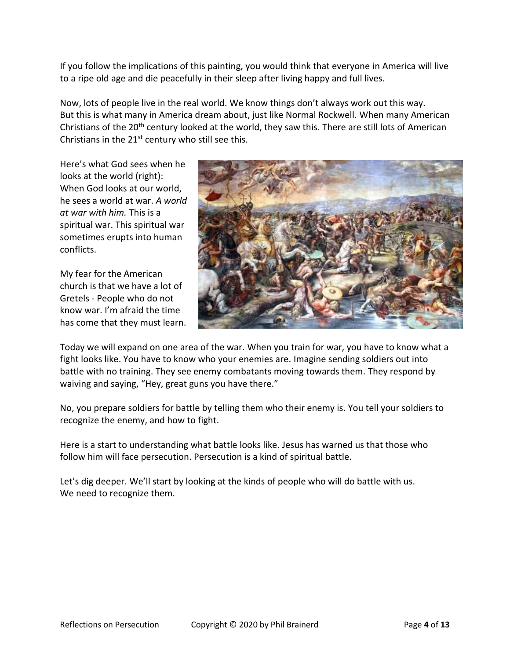If you follow the implications of this painting, you would think that everyone in America will live to a ripe old age and die peacefully in their sleep after living happy and full lives.

Now, lots of people live in the real world. We know things don't always work out this way. But this is what many in America dream about, just like Normal Rockwell. When many American Christians of the 20th century looked at the world, they saw this. There are still lots of American Christians in the  $21^{st}$  century who still see this.

Here's what God sees when he looks at the world (right): When God looks at our world, he sees a world at war. *A world at war with him.* This is a spiritual war. This spiritual war sometimes erupts into human conflicts.

My fear for the American church is that we have a lot of Gretels - People who do not know war. I'm afraid the time has come that they must learn.



Today we will expand on one area of the war. When you train for war, you have to know what a fight looks like. You have to know who your enemies are. Imagine sending soldiers out into battle with no training. They see enemy combatants moving towards them. They respond by waiving and saying, "Hey, great guns you have there."

No, you prepare soldiers for battle by telling them who their enemy is. You tell your soldiers to recognize the enemy, and how to fight.

Here is a start to understanding what battle looks like. Jesus has warned us that those who follow him will face persecution. Persecution is a kind of spiritual battle.

Let's dig deeper. We'll start by looking at the kinds of people who will do battle with us. We need to recognize them.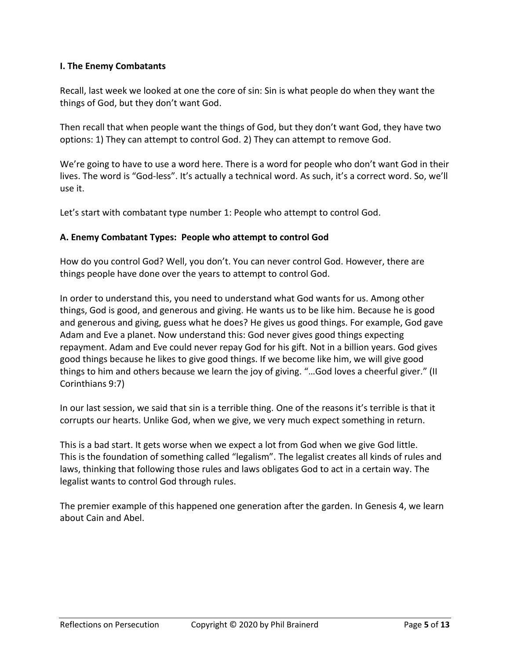## **I. The Enemy Combatants**

Recall, last week we looked at one the core of sin: Sin is what people do when they want the things of God, but they don't want God.

Then recall that when people want the things of God, but they don't want God, they have two options: 1) They can attempt to control God. 2) They can attempt to remove God.

We're going to have to use a word here. There is a word for people who don't want God in their lives. The word is "God-less". It's actually a technical word. As such, it's a correct word. So, we'll use it.

Let's start with combatant type number 1: People who attempt to control God.

### **A. Enemy Combatant Types: People who attempt to control God**

How do you control God? Well, you don't. You can never control God. However, there are things people have done over the years to attempt to control God.

In order to understand this, you need to understand what God wants for us. Among other things, God is good, and generous and giving. He wants us to be like him. Because he is good and generous and giving, guess what he does? He gives us good things. For example, God gave Adam and Eve a planet. Now understand this: God never gives good things expecting repayment. Adam and Eve could never repay God for his gift. Not in a billion years. God gives good things because he likes to give good things. If we become like him, we will give good things to him and others because we learn the joy of giving. "…God loves a cheerful giver." (II Corinthians 9:7)

In our last session, we said that sin is a terrible thing. One of the reasons it's terrible is that it corrupts our hearts. Unlike God, when we give, we very much expect something in return.

This is a bad start. It gets worse when we expect a lot from God when we give God little. This is the foundation of something called "legalism". The legalist creates all kinds of rules and laws, thinking that following those rules and laws obligates God to act in a certain way. The legalist wants to control God through rules.

The premier example of this happened one generation after the garden. In Genesis 4, we learn about Cain and Abel.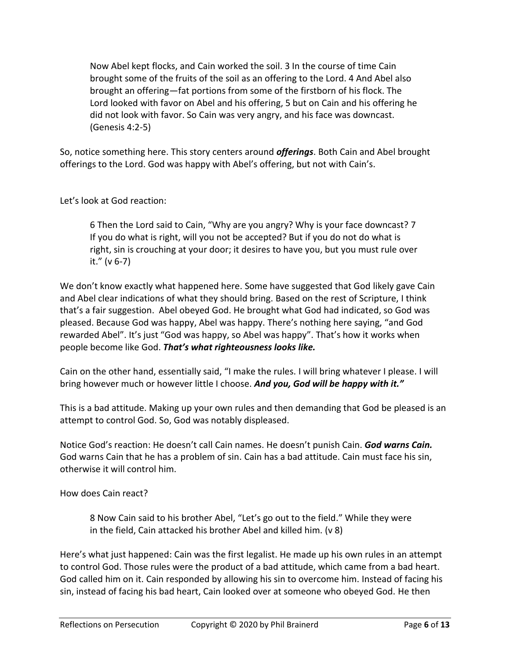Now Abel kept flocks, and Cain worked the soil. 3 In the course of time Cain brought some of the fruits of the soil as an offering to the Lord. 4 And Abel also brought an offering—fat portions from some of the firstborn of his flock. The Lord looked with favor on Abel and his offering, 5 but on Cain and his offering he did not look with favor. So Cain was very angry, and his face was downcast. (Genesis 4:2-5)

So, notice something here. This story centers around *offerings*. Both Cain and Abel brought offerings to the Lord. God was happy with Abel's offering, but not with Cain's.

Let's look at God reaction:

6 Then the Lord said to Cain, "Why are you angry? Why is your face downcast? 7 If you do what is right, will you not be accepted? But if you do not do what is right, sin is crouching at your door; it desires to have you, but you must rule over it." (v 6-7)

We don't know exactly what happened here. Some have suggested that God likely gave Cain and Abel clear indications of what they should bring. Based on the rest of Scripture, I think that's a fair suggestion. Abel obeyed God. He brought what God had indicated, so God was pleased. Because God was happy, Abel was happy. There's nothing here saying, "and God rewarded Abel". It's just "God was happy, so Abel was happy". That's how it works when people become like God. *That's what righteousness looks like.*

Cain on the other hand, essentially said, "I make the rules. I will bring whatever I please. I will bring however much or however little I choose. *And you, God will be happy with it."*

This is a bad attitude. Making up your own rules and then demanding that God be pleased is an attempt to control God. So, God was notably displeased.

Notice God's reaction: He doesn't call Cain names. He doesn't punish Cain. *God warns Cain.* God warns Cain that he has a problem of sin. Cain has a bad attitude. Cain must face his sin, otherwise it will control him.

How does Cain react?

8 Now Cain said to his brother Abel, "Let's go out to the field." While they were in the field, Cain attacked his brother Abel and killed him. (v 8)

Here's what just happened: Cain was the first legalist. He made up his own rules in an attempt to control God. Those rules were the product of a bad attitude, which came from a bad heart. God called him on it. Cain responded by allowing his sin to overcome him. Instead of facing his sin, instead of facing his bad heart, Cain looked over at someone who obeyed God. He then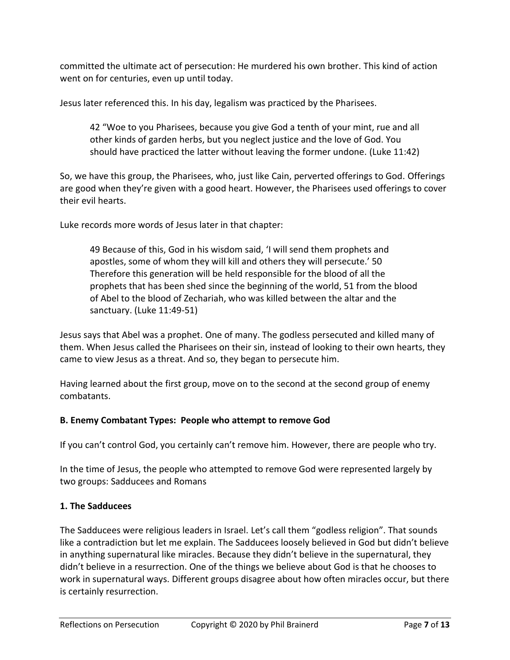committed the ultimate act of persecution: He murdered his own brother. This kind of action went on for centuries, even up until today.

Jesus later referenced this. In his day, legalism was practiced by the Pharisees.

42 "Woe to you Pharisees, because you give God a tenth of your mint, rue and all other kinds of garden herbs, but you neglect justice and the love of God. You should have practiced the latter without leaving the former undone. (Luke 11:42)

So, we have this group, the Pharisees, who, just like Cain, perverted offerings to God. Offerings are good when they're given with a good heart. However, the Pharisees used offerings to cover their evil hearts.

Luke records more words of Jesus later in that chapter:

49 Because of this, God in his wisdom said, 'I will send them prophets and apostles, some of whom they will kill and others they will persecute.' 50 Therefore this generation will be held responsible for the blood of all the prophets that has been shed since the beginning of the world, 51 from the blood of Abel to the blood of Zechariah, who was killed between the altar and the sanctuary. (Luke 11:49-51)

Jesus says that Abel was a prophet. One of many. The godless persecuted and killed many of them. When Jesus called the Pharisees on their sin, instead of looking to their own hearts, they came to view Jesus as a threat. And so, they began to persecute him.

Having learned about the first group, move on to the second at the second group of enemy combatants.

### **B. Enemy Combatant Types: People who attempt to remove God**

If you can't control God, you certainly can't remove him. However, there are people who try.

In the time of Jesus, the people who attempted to remove God were represented largely by two groups: Sadducees and Romans

## **1. The Sadducees**

The Sadducees were religious leaders in Israel. Let's call them "godless religion". That sounds like a contradiction but let me explain. The Sadducees loosely believed in God but didn't believe in anything supernatural like miracles. Because they didn't believe in the supernatural, they didn't believe in a resurrection. One of the things we believe about God is that he chooses to work in supernatural ways. Different groups disagree about how often miracles occur, but there is certainly resurrection.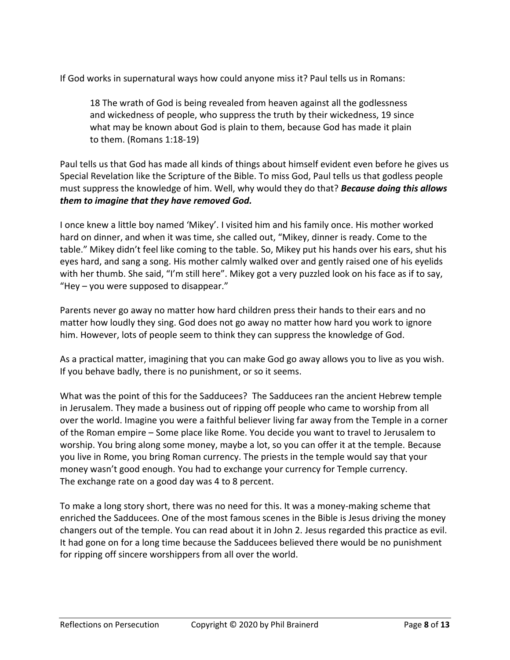If God works in supernatural ways how could anyone miss it? Paul tells us in Romans:

18 The wrath of God is being revealed from heaven against all the godlessness and wickedness of people, who suppress the truth by their wickedness, 19 since what may be known about God is plain to them, because God has made it plain to them. (Romans 1:18-19)

Paul tells us that God has made all kinds of things about himself evident even before he gives us Special Revelation like the Scripture of the Bible. To miss God, Paul tells us that godless people must suppress the knowledge of him. Well, why would they do that? *Because doing this allows them to imagine that they have removed God.*

I once knew a little boy named 'Mikey'. I visited him and his family once. His mother worked hard on dinner, and when it was time, she called out, "Mikey, dinner is ready. Come to the table." Mikey didn't feel like coming to the table. So, Mikey put his hands over his ears, shut his eyes hard, and sang a song. His mother calmly walked over and gently raised one of his eyelids with her thumb. She said, "I'm still here". Mikey got a very puzzled look on his face as if to say, "Hey – you were supposed to disappear."

Parents never go away no matter how hard children press their hands to their ears and no matter how loudly they sing. God does not go away no matter how hard you work to ignore him. However, lots of people seem to think they can suppress the knowledge of God.

As a practical matter, imagining that you can make God go away allows you to live as you wish. If you behave badly, there is no punishment, or so it seems.

What was the point of this for the Sadducees? The Sadducees ran the ancient Hebrew temple in Jerusalem. They made a business out of ripping off people who came to worship from all over the world. Imagine you were a faithful believer living far away from the Temple in a corner of the Roman empire – Some place like Rome. You decide you want to travel to Jerusalem to worship. You bring along some money, maybe a lot, so you can offer it at the temple. Because you live in Rome, you bring Roman currency. The priests in the temple would say that your money wasn't good enough. You had to exchange your currency for Temple currency. The exchange rate on a good day was 4 to 8 percent.

To make a long story short, there was no need for this. It was a money-making scheme that enriched the Sadducees. One of the most famous scenes in the Bible is Jesus driving the money changers out of the temple. You can read about it in John 2. Jesus regarded this practice as evil. It had gone on for a long time because the Sadducees believed there would be no punishment for ripping off sincere worshippers from all over the world.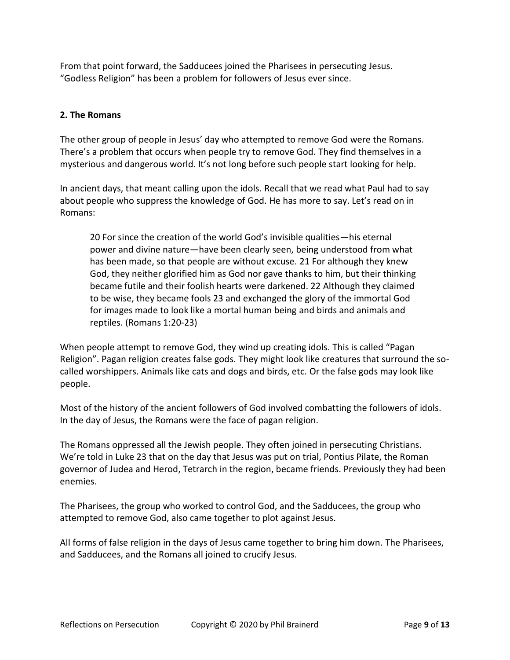From that point forward, the Sadducees joined the Pharisees in persecuting Jesus. "Godless Religion" has been a problem for followers of Jesus ever since.

# **2. The Romans**

The other group of people in Jesus' day who attempted to remove God were the Romans. There's a problem that occurs when people try to remove God. They find themselves in a mysterious and dangerous world. It's not long before such people start looking for help.

In ancient days, that meant calling upon the idols. Recall that we read what Paul had to say about people who suppress the knowledge of God. He has more to say. Let's read on in Romans:

20 For since the creation of the world God's invisible qualities—his eternal power and divine nature—have been clearly seen, being understood from what has been made, so that people are without excuse. 21 For although they knew God, they neither glorified him as God nor gave thanks to him, but their thinking became futile and their foolish hearts were darkened. 22 Although they claimed to be wise, they became fools 23 and exchanged the glory of the immortal God for images made to look like a mortal human being and birds and animals and reptiles. (Romans 1:20-23)

When people attempt to remove God, they wind up creating idols. This is called "Pagan Religion". Pagan religion creates false gods. They might look like creatures that surround the socalled worshippers. Animals like cats and dogs and birds, etc. Or the false gods may look like people.

Most of the history of the ancient followers of God involved combatting the followers of idols. In the day of Jesus, the Romans were the face of pagan religion.

The Romans oppressed all the Jewish people. They often joined in persecuting Christians. We're told in Luke 23 that on the day that Jesus was put on trial, Pontius Pilate, the Roman governor of Judea and Herod, Tetrarch in the region, became friends. Previously they had been enemies.

The Pharisees, the group who worked to control God, and the Sadducees, the group who attempted to remove God, also came together to plot against Jesus.

All forms of false religion in the days of Jesus came together to bring him down. The Pharisees, and Sadducees, and the Romans all joined to crucify Jesus.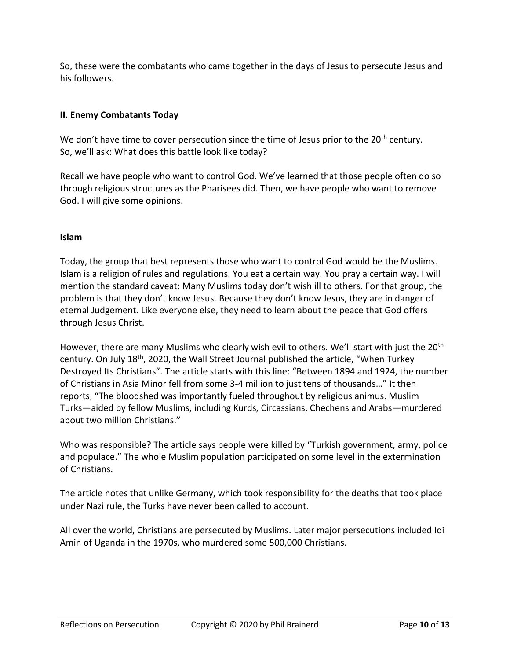So, these were the combatants who came together in the days of Jesus to persecute Jesus and his followers.

## **II. Enemy Combatants Today**

We don't have time to cover persecution since the time of Jesus prior to the 20<sup>th</sup> century. So, we'll ask: What does this battle look like today?

Recall we have people who want to control God. We've learned that those people often do so through religious structures as the Pharisees did. Then, we have people who want to remove God. I will give some opinions.

### **Islam**

Today, the group that best represents those who want to control God would be the Muslims. Islam is a religion of rules and regulations. You eat a certain way. You pray a certain way. I will mention the standard caveat: Many Muslims today don't wish ill to others. For that group, the problem is that they don't know Jesus. Because they don't know Jesus, they are in danger of eternal Judgement. Like everyone else, they need to learn about the peace that God offers through Jesus Christ.

However, there are many Muslims who clearly wish evil to others. We'll start with just the 20<sup>th</sup> century. On July 18th, 2020, the Wall Street Journal published the article, "When Turkey Destroyed Its Christians". The article starts with this line: "Between 1894 and 1924, the number of Christians in Asia Minor fell from some 3-4 million to just tens of thousands…" It then reports, "The bloodshed was importantly fueled throughout by religious animus. Muslim Turks—aided by fellow Muslims, including Kurds, Circassians, Chechens and Arabs—murdered about two million Christians."

Who was responsible? The article says people were killed by "Turkish government, army, police and populace." The whole Muslim population participated on some level in the extermination of Christians.

The article notes that unlike Germany, which took responsibility for the deaths that took place under Nazi rule, the Turks have never been called to account.

All over the world, Christians are persecuted by Muslims. Later major persecutions included Idi Amin of Uganda in the 1970s, who murdered some 500,000 Christians.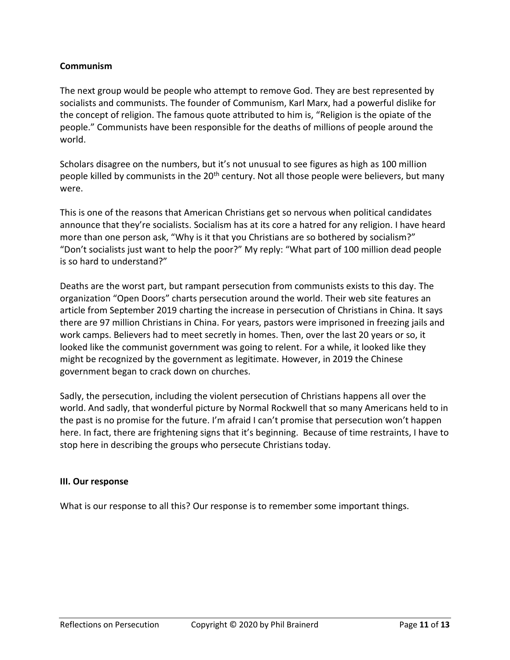### **Communism**

The next group would be people who attempt to remove God. They are best represented by socialists and communists. The founder of Communism, Karl Marx, had a powerful dislike for the concept of religion. The famous quote attributed to him is, "Religion is the opiate of the people." Communists have been responsible for the deaths of millions of people around the world.

Scholars disagree on the numbers, but it's not unusual to see figures as high as 100 million people killed by communists in the 20<sup>th</sup> century. Not all those people were believers, but many were.

This is one of the reasons that American Christians get so nervous when political candidates announce that they're socialists. Socialism has at its core a hatred for any religion. I have heard more than one person ask, "Why is it that you Christians are so bothered by socialism?" "Don't socialists just want to help the poor?" My reply: "What part of 100 million dead people is so hard to understand?"

Deaths are the worst part, but rampant persecution from communists exists to this day. The organization "Open Doors" charts persecution around the world. Their web site features an article from September 2019 charting the increase in persecution of Christians in China. It says there are 97 million Christians in China. For years, pastors were imprisoned in freezing jails and work camps. Believers had to meet secretly in homes. Then, over the last 20 years or so, it looked like the communist government was going to relent. For a while, it looked like they might be recognized by the government as legitimate. However, in 2019 the Chinese government began to crack down on churches.

Sadly, the persecution, including the violent persecution of Christians happens all over the world. And sadly, that wonderful picture by Normal Rockwell that so many Americans held to in the past is no promise for the future. I'm afraid I can't promise that persecution won't happen here. In fact, there are frightening signs that it's beginning. Because of time restraints, I have to stop here in describing the groups who persecute Christians today.

### **III. Our response**

What is our response to all this? Our response is to remember some important things.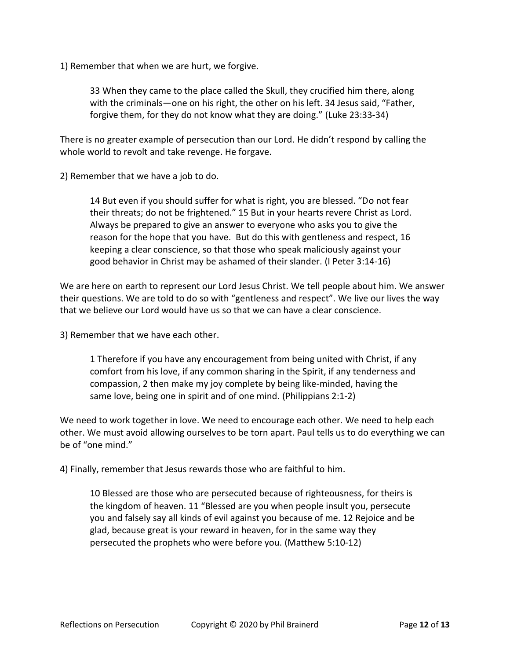1) Remember that when we are hurt, we forgive.

33 When they came to the place called the Skull, they crucified him there, along with the criminals—one on his right, the other on his left. 34 Jesus said, "Father, forgive them, for they do not know what they are doing." (Luke 23:33-34)

There is no greater example of persecution than our Lord. He didn't respond by calling the whole world to revolt and take revenge. He forgave.

2) Remember that we have a job to do.

14 But even if you should suffer for what is right, you are blessed. "Do not fear their threats; do not be frightened." 15 But in your hearts revere Christ as Lord. Always be prepared to give an answer to everyone who asks you to give the reason for the hope that you have. But do this with gentleness and respect, 16 keeping a clear conscience, so that those who speak maliciously against your good behavior in Christ may be ashamed of their slander. (I Peter 3:14-16)

We are here on earth to represent our Lord Jesus Christ. We tell people about him. We answer their questions. We are told to do so with "gentleness and respect". We live our lives the way that we believe our Lord would have us so that we can have a clear conscience.

3) Remember that we have each other.

1 Therefore if you have any encouragement from being united with Christ, if any comfort from his love, if any common sharing in the Spirit, if any tenderness and compassion, 2 then make my joy complete by being like-minded, having the same love, being one in spirit and of one mind. (Philippians 2:1-2)

We need to work together in love. We need to encourage each other. We need to help each other. We must avoid allowing ourselves to be torn apart. Paul tells us to do everything we can be of "one mind."

4) Finally, remember that Jesus rewards those who are faithful to him.

10 Blessed are those who are persecuted because of righteousness, for theirs is the kingdom of heaven. 11 "Blessed are you when people insult you, persecute you and falsely say all kinds of evil against you because of me. 12 Rejoice and be glad, because great is your reward in heaven, for in the same way they persecuted the prophets who were before you. (Matthew 5:10-12)